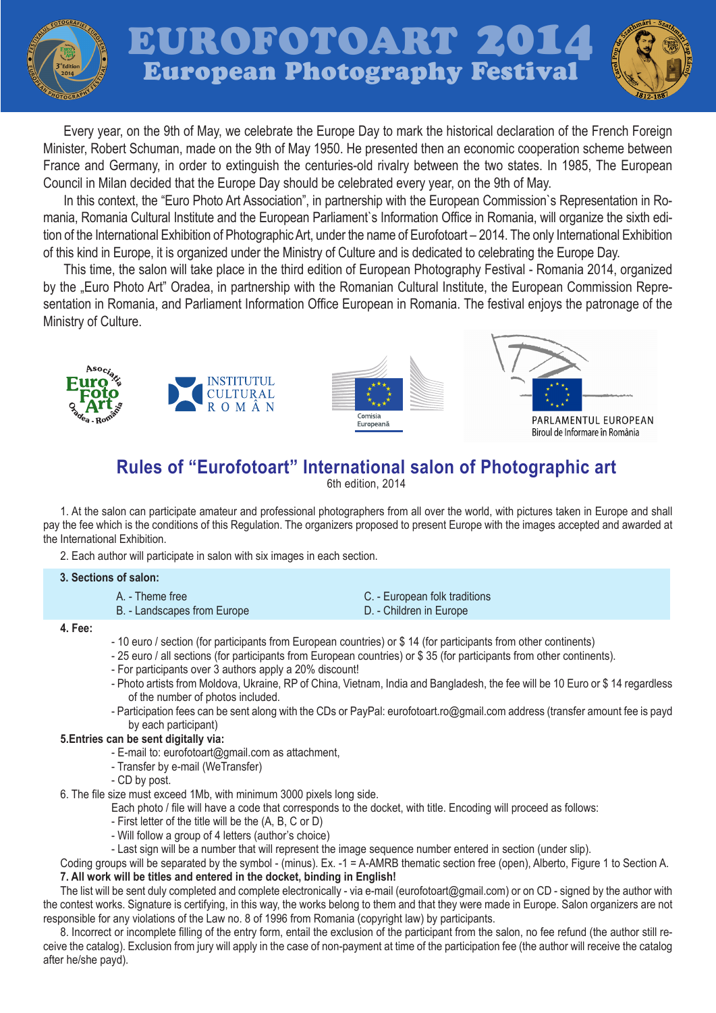

Every year, on the 9th of May, we celebrate the Europe Day to mark the historical declaration of the French Foreign Minister, Robert Schuman, made on the 9th of May 1950. He presented then an economic cooperation scheme between France and Germany, in order to extinguish the centuries-old rivalry between the two states. In 1985, The European Council in Milan decided that the Europe Day should be celebrated every year, on the 9th of May.

In this context, the "Euro Photo Art Association", in partnership with the European Commission`s Representation in Romania, Romania Cultural Institute and the European Parliament`s Information Office in Romania, will organize the sixth edition of the International Exhibition of Photographic Art, under the name of Eurofotoart – 2014. The only International Exhibition of this kind in Europe, it is organized under the Ministry of Culture and is dedicated to celebrating the Europe Day.

This time, the salon will take place in the third edition of European Photography Festival - Romania 2014, organized by the "Euro Photo Art" Oradea, in partnership with the Romanian Cultural Institute, the European Commission Representation in Romania, and Parliament Information Office European in Romania. The festival enjoys the patronage of the Ministry of Culture.







# **Rules of "Eurofotoart" International salon of Photographic art**

6th edition, 2014

1. At the salon can participate amateur and professional photographers from all over the world, with pictures taken in Europe and shall pay the fee which is the conditions of this Regulation. The organizers proposed to present Europe with the images accepted and awarded at the International Exhibition.

2. Each author will participate in salon with six images in each section.

## **3. Sections of salon:**

A. - Theme free B. - Landscapes from Europe

- C. European folk traditions
- D. Children in Europe

#### **4. Fee:**

- 10 euro / section (for participants from European countries) or \$ 14 (for participants from other continents)
- 25 euro / all sections (for participants from European countries) or \$ 35 (for participants from other continents).
- For participants over 3 authors apply a 20% discount!
- Photo artists from Moldova, Ukraine, RP of China, Vietnam, India and Bangladesh, the fee will be 10 Euro or \$ 14 regardless of the number of photos included.
- Participation fees can be sent along with the CDs or PayPal: eurofotoart.ro@gmail.com address (transfer amount fee is payd by each participant)

# **5.Entries can be sent digitally via:**

- E-mail to: eurofotoart@gmail.com as attachment,
- Transfer by e-mail (WeTransfer)
- CD by post.
- 6. The file size must exceed 1Mb, with minimum 3000 pixels long side.

Each photo / file will have a code that corresponds to the docket, with title. Encoding will proceed as follows:

- First letter of the title will be the (A, B, C or D)
- Will follow a group of 4 letters (author's choice)
- Last sign will be a number that will represent the image sequence number entered in section (under slip).

Coding groups will be separated by the symbol - (minus). Ex. -1 = A-AMRB thematic section free (open), Alberto, Figure 1 to Section A. **7. All work will be titles and entered in the docket, binding in English!**

The list will be sent duly completed and complete electronically - via e-mail (eurofotoart@gmail.com) or on CD - signed by the author with the contest works. Signature is certifying, in this way, the works belong to them and that they were made in Europe. Salon organizers are not responsible for any violations of the Law no. 8 of 1996 from Romania (copyright law) by participants.

8. Incorrect or incomplete filling of the entry form, entail the exclusion of the participant from the salon, no fee refund (the author still receive the catalog). Exclusion from jury will apply in the case of non-payment at time of the participation fee (the author will receive the catalog after he/she payd).